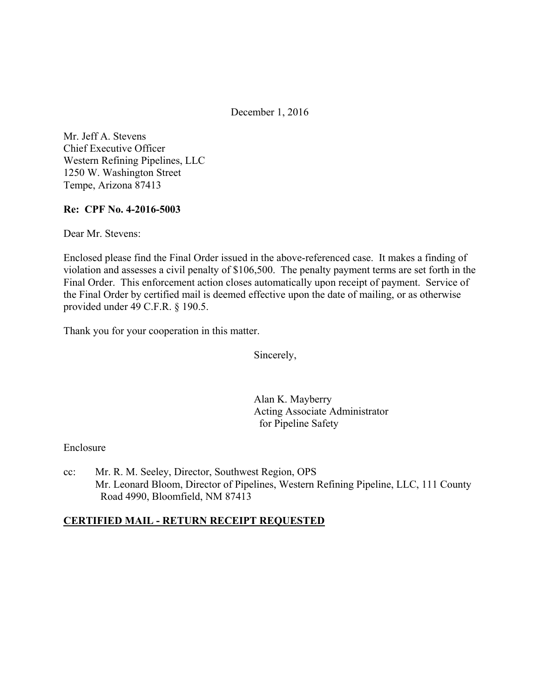December 1, 2016

Mr. Jeff A. Stevens Chief Executive Officer Western Refining Pipelines, LLC 1250 W. Washington Street Tempe, Arizona 87413

## **Re: CPF No. 4-2016-5003**

Dear Mr. Stevens:

Enclosed please find the Final Order issued in the above-referenced case. It makes a finding of violation and assesses a civil penalty of \$106,500. The penalty payment terms are set forth in the Final Order. This enforcement action closes automatically upon receipt of payment. Service of the Final Order by certified mail is deemed effective upon the date of mailing, or as otherwise provided under 49 C.F.R. § 190.5.

Thank you for your cooperation in this matter.

Sincerely,

Alan K. Mayberry Acting Associate Administrator for Pipeline Safety

### Enclosure

cc: Mr. R. M. Seeley, Director, Southwest Region, OPS Mr. Leonard Bloom, Director of Pipelines, Western Refining Pipeline, LLC, 111 County Road 4990, Bloomfield, NM 87413

## **CERTIFIED MAIL - RETURN RECEIPT REQUESTED**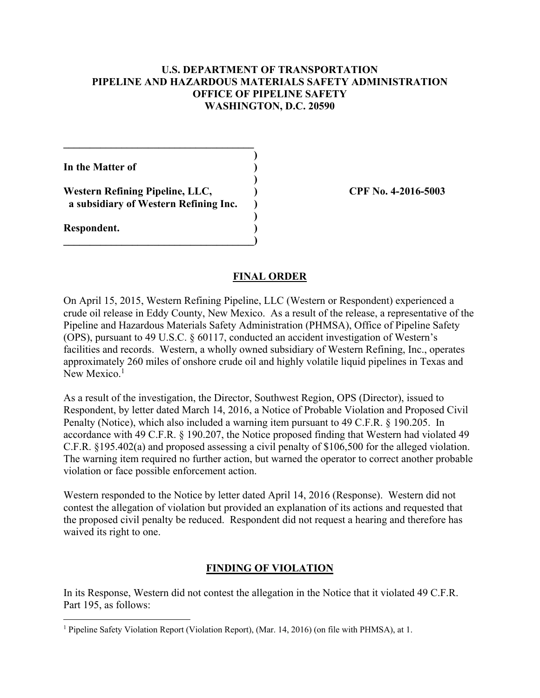## **U.S. DEPARTMENT OF TRANSPORTATION PIPELINE AND HAZARDOUS MATERIALS SAFETY ADMINISTRATION OFFICE OF PIPELINE SAFETY WASHINGTON, D.C. 20590**

**In the Matter of ) )** 

**Western Refining Pipeline, LLC, ) CPF No. 4-2016-5003 a subsidiary of Western Refining Inc. )** 

 **)** 

**\_\_\_\_\_\_\_\_\_\_\_\_\_\_\_\_\_\_\_\_\_\_\_\_\_\_\_\_\_\_\_\_\_\_\_\_)** 

 $\mathcal{L}=\{1,2,3,4,5\}$  **)** 

**Respondent. )** 

 $\overline{a}$ 

#### **FINAL ORDER**

On April 15, 2015, Western Refining Pipeline, LLC (Western or Respondent) experienced a crude oil release in Eddy County, New Mexico. As a result of the release, a representative of the Pipeline and Hazardous Materials Safety Administration (PHMSA), Office of Pipeline Safety (OPS), pursuant to 49 U.S.C. § 60117, conducted an accident investigation of Western's facilities and records. Western, a wholly owned subsidiary of Western Refining, Inc., operates approximately 260 miles of onshore crude oil and highly volatile liquid pipelines in Texas and New Mexico.<sup>1</sup>

As a result of the investigation, the Director, Southwest Region, OPS (Director), issued to Respondent, by letter dated March 14, 2016, a Notice of Probable Violation and Proposed Civil Penalty (Notice), which also included a warning item pursuant to 49 C.F.R. § 190.205. In accordance with 49 C.F.R. § 190.207, the Notice proposed finding that Western had violated 49 C.F.R. §195.402(a) and proposed assessing a civil penalty of \$106,500 for the alleged violation. The warning item required no further action, but warned the operator to correct another probable violation or face possible enforcement action.

Western responded to the Notice by letter dated April 14, 2016 (Response). Western did not contest the allegation of violation but provided an explanation of its actions and requested that the proposed civil penalty be reduced. Respondent did not request a hearing and therefore has waived its right to one.

#### **FINDING OF VIOLATION**

In its Response, Western did not contest the allegation in the Notice that it violated 49 C.F.R. Part 195, as follows:

<sup>&</sup>lt;sup>1</sup> Pipeline Safety Violation Report (Violation Report), (Mar. 14, 2016) (on file with PHMSA), at 1.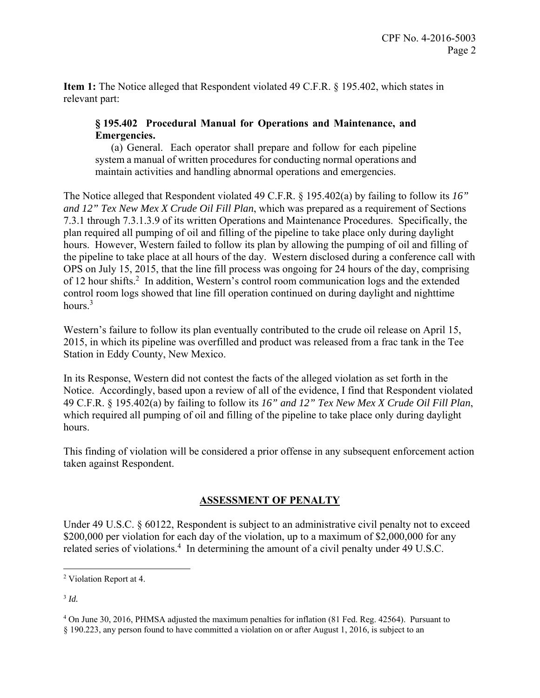**Item 1:** The Notice alleged that Respondent violated 49 C.F.R. § 195.402, which states in relevant part:

## **§ 195.402 Procedural Manual for Operations and Maintenance, and Emergencies.**

(a) General. Each operator shall prepare and follow for each pipeline system a manual of written procedures for conducting normal operations and maintain activities and handling abnormal operations and emergencies.

The Notice alleged that Respondent violated 49 C.F.R. § 195.402(a) by failing to follow its *16" and 12" Tex New Mex X Crude Oil Fill Plan*, which was prepared as a requirement of Sections 7.3.1 through 7.3.1.3.9 of its written Operations and Maintenance Procedures. Specifically, the plan required all pumping of oil and filling of the pipeline to take place only during daylight hours. However, Western failed to follow its plan by allowing the pumping of oil and filling of the pipeline to take place at all hours of the day. Western disclosed during a conference call with OPS on July 15, 2015, that the line fill process was ongoing for 24 hours of the day, comprising of 12 hour shifts.<sup>2</sup> In addition, Western's control room communication logs and the extended control room logs showed that line fill operation continued on during daylight and nighttime hours.<sup>3</sup>

Western's failure to follow its plan eventually contributed to the crude oil release on April 15, 2015, in which its pipeline was overfilled and product was released from a frac tank in the Tee Station in Eddy County, New Mexico.

In its Response, Western did not contest the facts of the alleged violation as set forth in the Notice. Accordingly, based upon a review of all of the evidence, I find that Respondent violated 49 C.F.R. § 195.402(a) by failing to follow its *16" and 12" Tex New Mex X Crude Oil Fill Plan*, which required all pumping of oil and filling of the pipeline to take place only during daylight hours.

This finding of violation will be considered a prior offense in any subsequent enforcement action taken against Respondent.

# **ASSESSMENT OF PENALTY**

Under 49 U.S.C. § 60122, Respondent is subject to an administrative civil penalty not to exceed \$200,000 per violation for each day of the violation, up to a maximum of \$2,000,000 for any related series of violations.<sup>4</sup> In determining the amount of a civil penalty under 49 U.S.C.

 $\overline{a}$ <sup>2</sup> Violation Report at 4.

<sup>3</sup> *Id.* 

<sup>4</sup> On June 30, 2016, PHMSA adjusted the maximum penalties for inflation (81 Fed. Reg. 42564). Pursuant to § 190.223, any person found to have committed a violation on or after August 1, 2016, is subject to an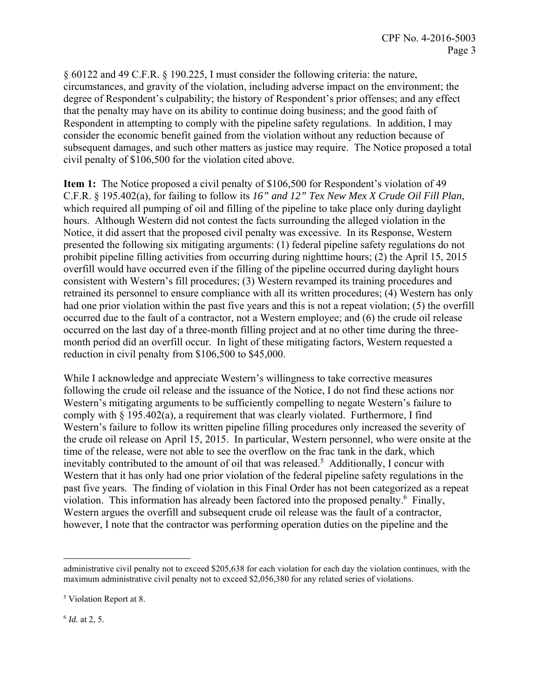§ 60122 and 49 C.F.R. § 190.225, I must consider the following criteria: the nature, circumstances, and gravity of the violation, including adverse impact on the environment; the degree of Respondent's culpability; the history of Respondent's prior offenses; and any effect that the penalty may have on its ability to continue doing business; and the good faith of Respondent in attempting to comply with the pipeline safety regulations. In addition, I may consider the economic benefit gained from the violation without any reduction because of subsequent damages, and such other matters as justice may require. The Notice proposed a total civil penalty of \$106,500 for the violation cited above.

**Item 1:** The Notice proposed a civil penalty of \$106,500 for Respondent's violation of 49 C.F.R. § 195.402(a), for failing to follow its *16" and 12" Tex New Mex X Crude Oil Fill Plan*, which required all pumping of oil and filling of the pipeline to take place only during daylight hours. Although Western did not contest the facts surrounding the alleged violation in the Notice, it did assert that the proposed civil penalty was excessive. In its Response, Western presented the following six mitigating arguments: (1) federal pipeline safety regulations do not prohibit pipeline filling activities from occurring during nighttime hours; (2) the April 15, 2015 overfill would have occurred even if the filling of the pipeline occurred during daylight hours consistent with Western's fill procedures; (3) Western revamped its training procedures and retrained its personnel to ensure compliance with all its written procedures; (4) Western has only had one prior violation within the past five years and this is not a repeat violation; (5) the overfill occurred due to the fault of a contractor, not a Western employee; and (6) the crude oil release occurred on the last day of a three-month filling project and at no other time during the threemonth period did an overfill occur. In light of these mitigating factors, Western requested a reduction in civil penalty from \$106,500 to \$45,000.

While I acknowledge and appreciate Western's willingness to take corrective measures following the crude oil release and the issuance of the Notice, I do not find these actions nor Western's mitigating arguments to be sufficiently compelling to negate Western's failure to comply with  $\S$  195.402(a), a requirement that was clearly violated. Furthermore, I find Western's failure to follow its written pipeline filling procedures only increased the severity of the crude oil release on April 15, 2015. In particular, Western personnel, who were onsite at the time of the release, were not able to see the overflow on the frac tank in the dark, which inevitably contributed to the amount of oil that was released.<sup>5</sup> Additionally, I concur with Western that it has only had one prior violation of the federal pipeline safety regulations in the past five years. The finding of violation in this Final Order has not been categorized as a repeat violation. This information has already been factored into the proposed penalty.<sup>6</sup> Finally, Western argues the overfill and subsequent crude oil release was the fault of a contractor, however, I note that the contractor was performing operation duties on the pipeline and the

<sup>6</sup> *Id.* at 2, 5.

<u>.</u>

administrative civil penalty not to exceed \$205,638 for each violation for each day the violation continues, with the maximum administrative civil penalty not to exceed \$2,056,380 for any related series of violations.

<sup>5</sup> Violation Report at 8.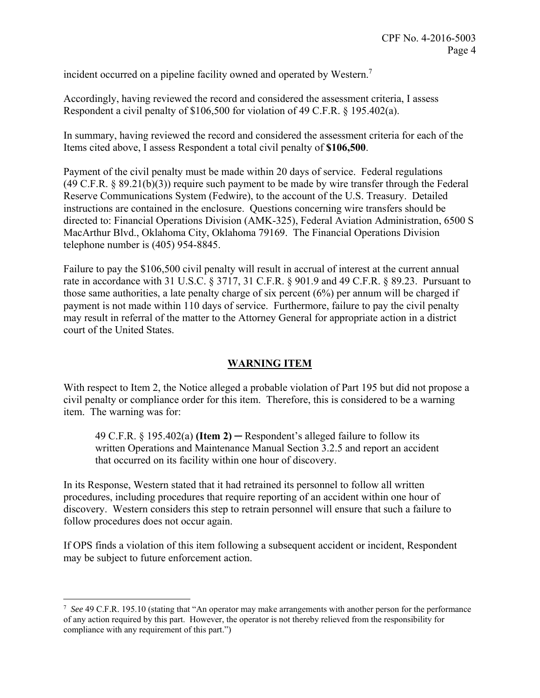incident occurred on a pipeline facility owned and operated by Western.<sup>7</sup>

Accordingly, having reviewed the record and considered the assessment criteria, I assess Respondent a civil penalty of \$106,500 for violation of 49 C.F.R. § 195.402(a).

In summary, having reviewed the record and considered the assessment criteria for each of the Items cited above, I assess Respondent a total civil penalty of **\$106,500**.

Payment of the civil penalty must be made within 20 days of service. Federal regulations (49 C.F.R. § 89.21(b)(3)) require such payment to be made by wire transfer through the Federal Reserve Communications System (Fedwire), to the account of the U.S. Treasury. Detailed instructions are contained in the enclosure. Questions concerning wire transfers should be directed to: Financial Operations Division (AMK-325), Federal Aviation Administration, 6500 S MacArthur Blvd., Oklahoma City, Oklahoma 79169. The Financial Operations Division telephone number is (405) 954-8845.

Failure to pay the \$106,500 civil penalty will result in accrual of interest at the current annual rate in accordance with 31 U.S.C. § 3717, 31 C.F.R. § 901.9 and 49 C.F.R. § 89.23. Pursuant to those same authorities, a late penalty charge of six percent (6%) per annum will be charged if payment is not made within 110 days of service. Furthermore, failure to pay the civil penalty may result in referral of the matter to the Attorney General for appropriate action in a district court of the United States.

# **WARNING ITEM**

With respect to Item 2, the Notice alleged a probable violation of Part 195 but did not propose a civil penalty or compliance order for this item. Therefore, this is considered to be a warning item. The warning was for:

49 C.F.R.  $\S$  195.402(a) **(Item 2)** — Respondent's alleged failure to follow its written Operations and Maintenance Manual Section 3.2.5 and report an accident that occurred on its facility within one hour of discovery.

In its Response, Western stated that it had retrained its personnel to follow all written procedures, including procedures that require reporting of an accident within one hour of discovery. Western considers this step to retrain personnel will ensure that such a failure to follow procedures does not occur again.

If OPS finds a violation of this item following a subsequent accident or incident, Respondent may be subject to future enforcement action.

 $\overline{a}$ 

<sup>7</sup> *See* 49 C.F.R. 195.10 (stating that "An operator may make arrangements with another person for the performance of any action required by this part. However, the operator is not thereby relieved from the responsibility for compliance with any requirement of this part.")